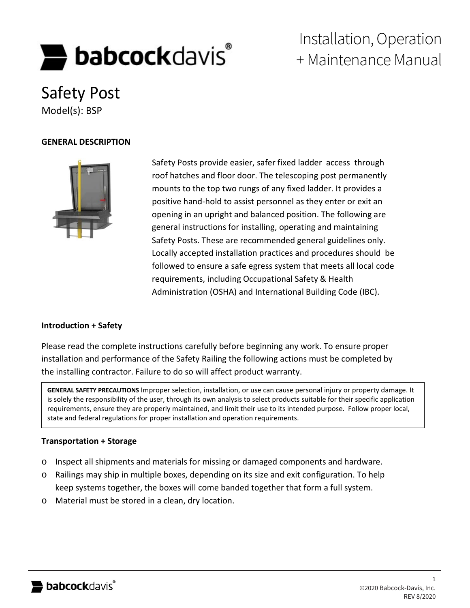# **babcock**davis

# Installation, Operation + Maintenance Manual

Safety Post Model(s): BSP

#### **GENERAL DESCRIPTION**



Safety Posts provide easier, safer fixed ladder access through roof hatches and floor door. The telescoping post permanently mounts to the top two rungs of any fixed ladder. It provides a positive hand-hold to assist personnel as they enter or exit an opening in an upright and balanced position. The following are general instructions for installing, operating and maintaining Safety Posts. These are recommended general guidelines only. Locally accepted installation practices and procedures should be followed to ensure a safe egress system that meets all local code requirements, including Occupational Safety & Health Administration (OSHA) and International Building Code (IBC).

## **Introduction + Safety**

Please read the complete instructions carefully before beginning any work. To ensure proper installation and performance of the Safety Railing the following actions must be completed by the installing contractor. Failure to do so will affect product warranty.

**GENERAL SAFETY PRECAUTIONS** Improper selection, installation, or use can cause personal injury or property damage. It is solely the responsibility of the user, through its own analysis to select products suitable for their specific application requirements, ensure they are properly maintained, and limit their use to its intended purpose. Follow proper local, state and federal regulations for proper installation and operation requirements.

#### **Transportation + Storage**

- o Inspect all shipments and materials for missing or damaged components and hardware.
- o Railings may ship in multiple boxes, depending on its size and exit configuration. To help keep systems together, the boxes will come banded together that form a full system.
- o Material must be stored in a clean, dry location.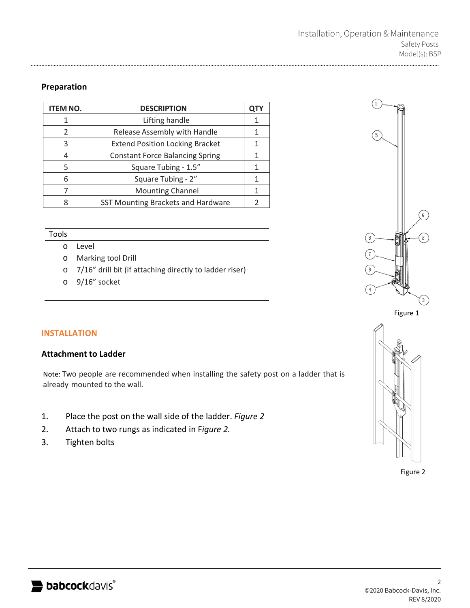# **Preparation**

| <b>ITEM NO.</b> | <b>DESCRIPTION</b>                     | QTY |
|-----------------|----------------------------------------|-----|
|                 | Lifting handle                         |     |
| 2               | Release Assembly with Handle           |     |
| 3               | <b>Extend Position Locking Bracket</b> |     |
| 4               | <b>Constant Force Balancing Spring</b> |     |
| 5               | Square Tubing - 1.5"                   |     |
| 6               | Square Tubing - 2"                     |     |
|                 | <b>Mounting Channel</b>                |     |
|                 | SST Mounting Brackets and Hardware     |     |

#### Tools

- o Level
- o Marking tool Drill
- o 7/16" drill bit (if attaching directly to ladder riser)
- o 9/16" socket





#### **INSTALLATION**

#### **Attachment to Ladder**

Note: Two people are recommended when installing the safety post on a ladder that is already mounted to the wall.

- 1. Place the post on the wall side of the ladder. *Figure 2*
- 2. Attach to two rungs as indicated in F*igure 2.*
- 3. Tighten bolts